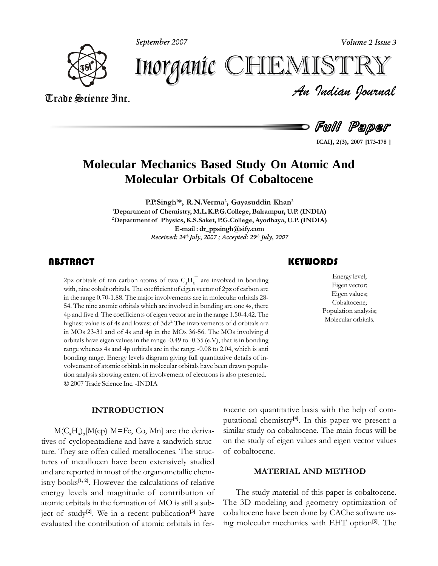**September 2007 Volume 2 Issue 3**



*Volume 2 Issue 3*<br>ISTRY<br>Indian Iournal Inorganic CHEMISTR

Trade Science Inc. Trade Science Inc.

Full Paper

**2(3), <sup>2007</sup> [173-178 ]**

# **Molecular Mechanics Based Study On Atomic And Molecular Orbitals Of Cobaltocene**

**P.P.Singh<sup>1\*</sup>, R.N.Verma<sup>2</sup>, Gayasuddin Khan<sup>2</sup> of Chemistry, M.L.K.P.G.College, Balrampur, U.P.(INDIA) 2Department of Physics, K.S.Saket, P.G.College, Ayodhaya, U.P.(INDIA) ics, K.S.Saket, P.G.College, Ayodhaya, U.P. (IN**<br>E-mail **:** dr\_ppsingh@sify.com **Received: 24 th July, 2007 ; Accepted: 29 th July, 2007**

### **ABSTRACT**

2pz orbitals of ten carbon atoms of two  $C_5H_5^-$  are involved in bonding with, nine cobalt orbitals. The coefficient of eigen vector of 2pz of carbon are in the range 0.70-1.88. The maior involvements are in molecular or providulation correlation of two  $C_5H_5^-$  are involved in bonding the cobalt orbitals. The coefficient of eigen vector of 2pz of carbon are with, nine cobalt orbitals. The coefficient of eigen vector of 2pz of carbon are in the range 0.70-1.88. The major involvements are in molecular orbitals 28in the range 0.70-1.88. The major involvements are in molecular orbitals 28-54. The nine atomic orbitals which are involved in bonding are one 4s, there Five d. The coefficients of eigen vector are in the range  $1.50-4.42$ . The value is of 4s and lowest of  $3dz^2$  The involvements of d orbitals are highest value is of 4s and lowest of  $3dz^2$  The involvements of d orbitals are in MOs 23-31 and of 4s and 4p in the MOs 36-56. The MOs involving d in MOs 23-31 and of 4s and 4p in the MOs 36-56. The MOs involving d orbitals have eigen values in the range -0.49 to -0.35 (e.V), that is in bonding range whereas 4s and 4p orbitals are in the range -0.08 to 2.04, which is anti  $\frac{1}{2}$  range whereas 4s and 4p orbitals are in the range -0.08 to 2.04, which is anti-<br>bonding range. Energy levels diagram giving full quantitative details of inbonding range. Energy levels diagram giving full quantitative details of inthe been drawn population analysis showing extent of involvement of electrons is also presented. tion analysis showing extent of involvement of electrons is also presented.<br>© 2007 Trade Science Inc. -INDIA

#### **INTRODUCTION**

 $M(C_5H_5)_2[M(cp)$  M=Fe, Co, Mn] are the derivatives of cyclopentadiene and have a sandwich struc-<br>ture. They are offen called metallocenes. The structure. They are offen called metallocenes. The struc- of cob tures of metallocen have been extensively studied<br>and are reported in most of the organometallic chemand are reported in<br>istry books<sup>[1, 2]</sup>. He **[1,**<sup>2</sup>. However the organometallic chem-<br><sup>21</sup>. However the calculations of relative  $\frac{1}{2}$  istry books<sup>[1, 2]</sup>. However the calculations of relative energy levels and magnitude of contribution of energy levels and magnitude of contribution of atomic orbitals in the formation of MO is still a subatomic orbitals in the formation of MO is still a sub-<br>iect of study<sup>[2]</sup>. We in a recent publication<sup>[3]</sup> have **[3]**subevaluated the contribution of atomic orbitals in fer-

## Energy

Energy level;<br>Eigen vector;<br>Eigen values; **level;**<br>Eigen vector; Eigen vector; Eigen vector;<br>Eigen values: Cobaltocene; cobaltocene;<br>Population analysis;<br>Molecular orbitals.

rocene on quantitative basis with the help of comquantitative basis with the help of com-<br>chemistry<sup>[4]</sup>. In this paper we present a putational chemistry<sup>[4]</sup>. In this paper we present a similar study on cobaltocene. The main focus will be similar study on cobaltocene. The main focus will be<br>on the study of eigen values and eigen vector values on the study of eigen **MATERIAL**

#### **MATERIAL AND METHOD**

cobaltocene have been done by CAChe software us-<br>ing molecular mechanics with EHT option<sup>[5]</sup>. The The study material of this paper is cobaltocene. The study material of this paper is cobaltocene.<br>3D modeling and geometry optimization of The 3D modeling and geometry optimization of<br>cobaltocene have been done by CAChe software us-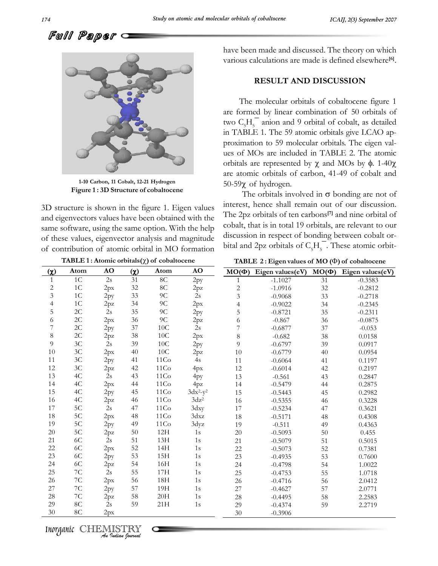have





**Carbon, <sup>11</sup> Cobalt, 12-21 Hydrogen Figure 1: 3D Structure of cobaltocene**

Figure 1:3D structure of cobaldocene<br>3D structure is shown in the figure 1. Eigen values interest<br>and eigenvectors values have been obtained with the The 2 and eigenvectors values have been obtained with the The 2p<br>same software, using the same option. With the help cobalt, same software, using the same option. With the help cobal<br>of these values, eigenvector analysis and magnitude discu of these values, eigenvector analysis and magnitude<br>of contribution of atomic orbital in MO formation 1**tributi** Exterior **11: Atomic orbital** in MO formation<br> **11: Atomic orbitals**( $\chi$ ) of **cobaltocene** 

**TABLE 1:** Atomic orbitals( $\chi$ ) of cobaltocene<br>Atom **AO** ( $\chi$ ) Atom **A** 

been made and discussed. The theory on which various calculations are made is defined elsewhere **[6]**.

#### **RESULT AND DISCUSSION**

 molecular orbitals of cobaltocene figure <sup>1</sup> The molecular orbitals of cobaltocene figure 1<br>formed by linear combination of 50 orbitals of are formed by linear combination of  $50$  orbitals of two  $CH<sub>-</sub>$  anion and 9 orbital of cobalt, as detailed two  $C_5H_5^-$  anion and 9 orbital of cobalt, as detailed<br>in TABLE 1. The 59 atomic orbitals give LCAO apin TABLE 1. The 59 atomic orbitals give LCAO approximation to 59 molecular orbitals. The eigen valr<br>ues of tion to 59 molecular orbitals. The eigen val-<br>MOs are included in TABLE 2. The atomic<br>are represented by  $\gamma$  and MOs by  $\phi$ . 1-40 $\gamma$ orbitals are represented by  $\chi$  and MOs by  $\phi$ . 1-40 $\chi$ <br>are atomic orbitals of carbon, 41-49 of cobalt and omic orbitals of carbon, 41-49 of cobalt and  $\chi$  of hydrogen.<br>The orbitals involved in  $\sigma$  bonding are not of 50-59 $\chi$  of hydrogen.<br>The orbitals involved in  $\sigma$  bonding are not of

The orbitals involved in  $\sigma$  bonding are not of interest. hence shall remain out of our discussion. est, hence shall remain out of o **[7]**of our discussion.<br>and nine orbital of The 2pz orbitals of ten carbons<sup>[7]</sup> and nine orbital of cobalt, that is in total 19 orbitals, are relevant to our  $\cosh t$ , that is in total 19 orbitals, are relevant to our discussion in respect of bonding between cobalt ordiscussion in respect of bonding between cobalt or**bital and 2pz orbitals of**  $C_{\xi}H_{\xi}$ **. These atomic orbit-**

 $-0.4627$   $57$   $2.0771$ <br> $-0.4495$   $58$   $2.2583$ 

 $-0.4495$   $58$   $2.2583$ <br> $-0.4374$   $59$   $2.2719$ 

|              |                |     |          | TABLE 1: Atomic orbitals $(\chi)$ of cobaltocene |             |             | TABLE 2: Eigen values of $MO$ ( $\Phi$ ) of cobaltocene |            |                  |
|--------------|----------------|-----|----------|--------------------------------------------------|-------------|-------------|---------------------------------------------------------|------------|------------------|
| $\chi$       | Atom           | AO  | $\alpha$ | Atom                                             | AO          | $MO(\Phi)$  | Eigen values(eV)                                        | $MO(\Phi)$ | Eigen values(eV) |
| $\mathbf{1}$ | $1\textrm{C}$  | 2s  | 31       | $8\mathrm{C}$                                    | 2py         |             | $-1.1027$                                               | 31         | $-0.3583$        |
| 2            | 1C             | 2px | 32       | $8\mathrm{C}$                                    | 2pz         | $\mathbf 2$ | $-1.0916$                                               | 32         | $-0.2812$        |
| 3            | $1\mathrm{C}$  | 2py | 33       | $9C$                                             | 2s          | 3           | $-0.9068$                                               | 33         | $-0.2718$        |
| 4            | 1 <sup>C</sup> | 2pz | 34       | $9C$                                             | 2px         | 4           | $-0.9022$                                               | 34         | $-0.2345$        |
| 5            | $2\mathrm{C}$  | 2s  | 35       | $9C$                                             | 2py         | 5           | $-0.8721$                                               | 35         | $-0.2311$        |
| 6            | $2\mathrm{C}$  | 2px | 36       | $9C$                                             | 2pz         | 6           | $-0.867$                                                | 36         | $-0.0875$        |
| 7            | $2\mathrm{C}$  | 2py | 37       | $10\textrm{C}$                                   | 2s          | 7           | $-0.6877$                                               | 37         | $-0.053$         |
| 8            | 2C             | 2pz | 38       | $10\textrm{C}$                                   | 2px         | 8           | $-0.682$                                                | 38         | 0.0158           |
| 9            | 3C             | 2s  | 39       | $10\mathrm{C}$                                   | 2py         | 9           | $-0.6797$                                               | 39         | 0.0917           |
| 10           | $3\mathrm{C}$  | 2px | 40       | $10\mathrm{C}$                                   | 2pz         | 10          | $-0.6779$                                               | 40         | 0.0954           |
| 11           | 3C             | 2py | 41       | 11Co                                             | 4s          | 11          | $-0.6064$                                               | 41         | 0.1197           |
| 12           | 3C             | 2pz | 42       | 11Co                                             | 4px         | 12          | $-0.6014$                                               | 42         | 0.2197           |
| 13           | 4C             | 2s  | 43       | 11Co                                             | 4py         | 13          | $-0.561$                                                | 43         | 0.2847           |
| 14           | 4C             | 2px | 44       | 11Co                                             | 4pz         | 14          | $-0.5479$                                               | 44         | 0.2875           |
| 15           | 4C             | 2py | 45       | 11Co                                             | $3dx^2-y^2$ | 15          | $-0.5443$                                               | 45         | 0.2982           |
| 16           | 4C             | 2pz | 46       | 11Co                                             | $3dz^2$     | 16          | $-0.5355$                                               | 46         | 0.3228           |
| 17           | $5C$           | 2s  | 47       | 11Co                                             | 3dxy        | 17          | $-0.5234$                                               | 47         | 0.3621           |
| 18           | $5\mathrm{C}$  | 2px | 48       | 11Co                                             | 3dxz        | 18          | $-0.5171$                                               | 48         | 0.4308           |
| 19           | 5C             | 2py | 49       | 11Co                                             | 3dyz        | 19          | $-0.511$                                                | 49         | 0.4363           |
| 20           | 5C             | 2pz | 50       | 12H                                              | 1s          | 20          | $-0.5093$                                               | 50         | 0.455            |
| 21           | 6C             | 2s  | 51       | 13H                                              | 1s          | 21          | $-0.5079$                                               | 51         | 0.5015           |
| 22           | $6\mathrm{C}$  | 2px | 52       | 14H                                              | 1s          | 22          | $-0.5073$                                               | 52         | 0.7381           |
| 23           | $6C$           | 2py | 53       | 15H                                              | 1s          | 23          | $-0.4935$                                               | 53         | 0.7600           |
| 24           | $6C$           | 2pz | 54       | 16H                                              | 1s          | 24          | $-0.4798$                                               | 54         | 1.0022           |
| 25           | $7\mathrm{C}$  | 2s  | 55       | $17H$                                            | 1s          | 25          | $-0.4753$                                               | 55         | 1.0718           |
| 26           | $7\mathrm{C}$  | 2px | 56       | 18 <sub>H</sub>                                  | 1s          | 26          | $-0.4716$                                               | 56         | 2.0412           |
| 27           | 7C             | 2py | 57       | 19H                                              | 1s          | 27          | $-0.4627$                                               | 57         | 2.0771           |

29

29

30

-0.4495<br>-0.4374<br>-0.3906

 $\frac{2px}{8C}$   $\frac{2px}{2s}$  59<br>8C  $\frac{2px}{2px}$ 

27 7C 2py 57 19H 1s<br>28 7C 2pz 58 20H 1s 28 7C 2pz 58 20H 1s<br>29 8C 2s 59 21H 1s

 $\alpha$ 

 $\frac{12}{13}$ 

 $\frac{16}{17}$ 

30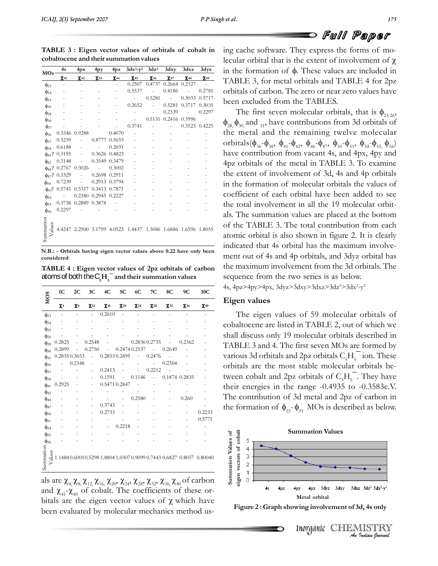ing

| $MOs$ -              | 4s                   | 4px                         | 4py                      | 4pz                      | $3dx^2-y^2$ $3dz^2$ $3dxy$                                     |                |                   | 3dxz                | 3dyz      |
|----------------------|----------------------|-----------------------------|--------------------------|--------------------------|----------------------------------------------------------------|----------------|-------------------|---------------------|-----------|
|                      | $\chi_{41}$          | $\chi_{42}$                 | $\chi_{43}$              | $X_{44}$                 | $\chi_{45}$                                                    | $X_{46}$       | $X_{47}$          | $X_{48}$            | $X_{49}$  |
| $\phi_{23}$          |                      | $\overline{\phantom{a}}$    | $\overline{\phantom{0}}$ | ÷.                       | 0.2507                                                         | 0.4737         |                   | $0.2664$ $0.2327$ - |           |
| $\phi$ <sub>24</sub> |                      |                             |                          | ä,                       | 0.5537                                                         | $\sim$         | 0.4186            | ä,                  | 0.2781    |
| $\phi_{25}$          |                      |                             |                          | $\overline{\phantom{m}}$ | $\mathcal{L}^{\text{max}}$                                     | 0.5281         | <b>Contractor</b> | 0.3033 0.5717       |           |
| $\phi_{26}$          |                      |                             |                          | $\overline{\phantom{m}}$ | 0.2652                                                         | $\sim 10^{-1}$ | 0.5281            | 0.3717 0.3035       |           |
| $\phi_{28}$          |                      |                             |                          | ٠                        | ÷,                                                             | ÷,             | 0.2339            | $\bar{a}$           | 0.2297    |
| $\phi_{30}$          |                      |                             |                          | $\overline{\phantom{0}}$ | $\sim$                                                         | 0.5131         |                   | 0.2416 0.3996       |           |
| $\phi_{32}$          |                      |                             |                          | $\overline{\phantom{0}}$ | 0.3741                                                         | ÷,             | $\bar{a}$         | 0.3523 0.4225       |           |
| $\phi_{36}$          |                      | 0.3346 0.9288               |                          | 0.4070                   |                                                                |                |                   | ÷,                  |           |
| $\phi_{37}$          | 0.3259               | ÷,                          |                          | 0.8777 0.5655            |                                                                |                |                   |                     | $\bar{ }$ |
| $\phi_{38}$          | 0.6188               | $\overline{\phantom{a}}$    | <b>Contract</b>          | 0.2691                   |                                                                |                |                   |                     |           |
|                      | $\phi_{41}$ ? 0.3195 | $\sim$                      |                          | 0.3626 0.4823            |                                                                |                |                   |                     |           |
| $\phi_{42}$          | 0.3148               | $\bar{a}$                   |                          | 0.3549 0.3479            |                                                                |                |                   |                     |           |
|                      |                      | $\phi_{46}$ ? 0.2767 0.3026 | <b>Contractor</b>        | 0.3002                   |                                                                |                |                   |                     |           |
|                      | $\phi_{47}$ ? 0.3329 | ä,                          | 0.2698 0.2911            |                          |                                                                |                |                   |                     |           |
| $\phi_{50}$          | 0.7239               | $\bar{a}$                   |                          | 0.2913 0.3794            |                                                                |                |                   |                     |           |
| $\phi_{5}$ ?         | 0.5741               | 0.5317                      | 0.3413 0.7871            |                          |                                                                |                |                   |                     |           |
| $\phi$ <sub>54</sub> | $\sim 100$           |                             | 0.2380 0.2945 0.2227     |                          |                                                                |                |                   |                     |           |
| $\phi_{55}$          |                      | 0.3738 0.2889 0.3878        |                          | <b>Contractor</b>        |                                                                |                |                   |                     |           |
| $\phi_{56}$          | 0.2297               | $\sim$ $-$                  |                          |                          |                                                                |                |                   |                     |           |
| Summation<br>Values  |                      |                             |                          |                          | 4.4247 2.2900 3.1799 4.0523 1.4437 1.5086 1.6886 1.6596 1.8055 |                |                   |                     |           |

 $\overline{\text{O}}$ <br>**N.B.:** - Orbitals having eigen vector values above 0.22 have only been considered

**1C <sup>4</sup> : Eigen vector values of 2pz orbitals of carbon** TABLE 4 : Eigen vector values of 2pz orbitals of carbon atoms of both the  $C_{\rm g}H_{\rm g}^-$  and their summation values

| <b>MOS</b>                          | 1 <sub>C</sub>           | 2C       | 3C                       | 4C          | 5C            | 6C           | 7C            | 8C          | 9C            | 10C                                                                                      |
|-------------------------------------|--------------------------|----------|--------------------------|-------------|---------------|--------------|---------------|-------------|---------------|------------------------------------------------------------------------------------------|
|                                     | $\chi_4$                 | $\chi_8$ | $\chi_{12}$              | $\chi_{16}$ | $\chi_{20}$   | $\chi_{24}$  | $\chi_{28}$   | $\chi_{32}$ | $\chi_{36}$   | $\chi_{40}$                                                                              |
| $\phi_{23}$                         | $\overline{\phantom{0}}$ |          | $\overline{\phantom{a}}$ | 0.2610      |               | ٠            |               |             |               |                                                                                          |
| $\phi$ <sub>24</sub>                |                          |          |                          |             |               |              |               |             |               |                                                                                          |
| $\phi_{25}$                         |                          |          |                          |             |               |              |               |             |               |                                                                                          |
| $\phi_{26}$                         |                          |          |                          |             |               |              |               |             |               |                                                                                          |
| $\phi_{28}$                         | 0.2825                   |          | 0.2548                   |             |               |              | 0.2836 0.2755 |             | 0.2362        |                                                                                          |
| $\phi_{30}$                         | 0.2899                   |          | 0.2750                   |             |               | 0.24740.2537 |               | 0.2649      |               |                                                                                          |
| $\phi_{31}$                         | 0.28350.3653             |          | $\frac{1}{2}$            |             | 0.2853 0.2495 |              | 0.2476        |             |               |                                                                                          |
| $\phi_{36}$                         |                          | 0.2348   | ÷,                       |             |               |              |               | 0.2304      |               |                                                                                          |
| $\phi$ <sub>37</sub>                |                          |          | $\overline{\phantom{0}}$ | 0.2413      |               |              | 0.2212        |             |               |                                                                                          |
| $\phi_{38}$                         |                          |          |                          | 0.1591      |               | 0.1146       |               |             | 0.1874 0.2835 |                                                                                          |
| $\phi_{41}$                         | 0.2925                   |          | ÷,                       |             | 0.5471 0.2847 |              |               |             |               |                                                                                          |
| $\phi_{42}$                         |                          |          |                          |             |               | 0.2580       |               |             | 0.260         |                                                                                          |
| $\phi$ <sub>46</sub>                |                          |          |                          | 0.3743      |               |              |               |             |               |                                                                                          |
| $\phi_{47}$                         |                          |          |                          | 0.2733      |               |              |               |             |               | 0.2233                                                                                   |
| $\phi_{50}$                         |                          |          |                          |             |               |              |               |             |               | 0.5771                                                                                   |
| $\phi$ <sub>51</sub><br>$\phi_{54}$ |                          |          |                          |             | 0.2218        |              |               |             |               |                                                                                          |
| $\phi_{55}$                         |                          |          |                          |             |               |              |               |             |               |                                                                                          |
| φ <sub>56</sub>                     |                          |          |                          |             |               |              |               |             |               |                                                                                          |
| Summation                           |                          |          |                          |             |               |              |               |             |               | $\sum_{r=1}^{39} 1.1484 0.6001 0.5298 1.8804 1.0307 0.9099 0.7443 0.6827 0.8057 0.80040$ |

 $\overline{\text{re} \ \chi_{4,} \chi_{8,} \gamma}$ als are  $\chi_{4}$ ,  $\chi_{8}$ ,  $\chi_{12}$ ,  $\chi_{16}$ ,  $\chi_{20}$ ,  $\chi_{24}$ ,  $\chi_{28}$ ,  $\chi_{32}$ ,  $\chi_{36}$ ,  $\chi_{40}$  of carbon and  $\chi_{41}$ - $\chi_{49}$  of cobalt. The coefficients of these or-<br>bitals are the eigen vector values of  $\gamma$  bitals are the eigen vector values of  $\chi$  which have<br>been evaluated by molecular mechanics method us-

**C** FUII Paper<br>ing cache software. They express the forms of mo- $\overline{C}$  or  $\overline{C}$  and  $\overline{C}$  and  $\overline{C}$  and  $\overline{C}$  be software. They express the forms of mo-<br>orbital that is the extent of involvement of  $\gamma$ lecular orbital that is the extent of involvement of  $\chi$ the forms of mo-<br>sular orbital that is the extent of involvement of  $\chi$ <br>the formation of  $\phi$ . These values are included in in the formation of  $\phi$ . These values are included in TABLE 3, for metal orbitals and TABLE 4 for 2pz TABLE 3, for metal orbitals and TABLE 4 for 2pz<br>orbitals of carbon. The zero or near zero values have orbitals of carbon. The zero or near zero<br>been excluded from the TABLES. orbitals of carbon. The zero or near zero values have<br>been excluded from the TABLES.<br>The first seven molecular orbitals, that is  $\phi_{23-26}$ ,<br> $\phi_{28}$ ,  $\phi_{30}$  and <sub>31</sub>, have contributions from 3d orbitals of **<sup>3</sup> : Eigen vector values of orbitals of cobalt in cobaltocene and their summation values**

 $\phi_{28}$ ,  $\phi_{30}$  and  $_{31}$ , have contributions from 3d orbitals of<br>the metal and the remaining twelve molecular<br>orbitals( $\phi_{12}$ - $\phi_{23}$ ,  $\phi_{31}$ - $\phi_{32}$ ,  $\phi_{43}$ ,  $\phi_{51}$ - $\phi_{62}$ ,  $\phi_{73}$ ,  $\phi_{81}$ - $\phi_{92}$ , seven molecular orbitals, that is  $\phi_{23\cdot26}$ , have contributions from 3d orbitals of  $4p$ z  $(136 \tcdot 138)$   $141 \tcdot 142$   $146 \tcdot 147$   $150 \tcdot 151$   $154 \tcdot 155$ ,  $156$ <br>have contribution from vacant 4s, and 4px, 4py and<br>4pz orbitals of the metal in TABLE 3. To examine  $\frac{1}{1}$ , the remaining twelve  $\phi_{28}$ ,  $\phi_{30}$ , and <sub>31</sub>, have contributions from 3d orbitals of<br>the metal and the remaining twelve molecular<br>orbitals( $\phi_{36}$ - $\phi_{38}$ ,  $\phi_{41}$ - $\phi_{42}$ ,  $\phi_{46}$ - $\phi_{47}$ ,  $\phi_{50}$ - $\phi_{51}$ ,  $\phi_{54}$ - $\phi_{55}$ ,  $\phi$  $4pz$  orbitals of the metal in TABLE 3. To examine<br>the extent of involvement of 3d, 4s and 4p orbitals the extent of involvement of 3d, 4s and 4p orbitals<br>in the formation of molecular orbitals the values of in the formation of molecular orbitals the values of coefficient of each orbital have been added to see the total involvement in all the 19 molecular orbitthe total involvement in all the 19 molecular orbitals. The summation values are placed at the bottom<br>of the TABLE 3. The total contribution from each of the TABLE 3. The total contribution from each<br>atomic orbital is also shown in figure 2. It is clearly atomic orbital is also shown in figure 2. It is clearly indicated that 4s orbital has the maximum involveindicated that 4s orbital has the maximum involvement out of 4s and 4p orbitals, and 3dyz orbital has<br>the maximum involvement from the 3d orbitals. The the maximum involvement from the 3d orbital<br>sequence from the two series is as below. quence from the two series is as below.<br> $4px>4px>4px>3dxz>3dxz>3dzz>3dz^2-y$ 4s, 4pz>4py>4px, 3dyz>3dxy>3dxz>3dz<sup>2</sup>>3dx<sup>2</sup>-y<sup>2</sup><br>**Eiøen values** 

#### Eigen values

Eigen values<br>The eigen values of 59 molecular orbitals of<br>cobaltocene are listed in TABLE 2, out of which we shall discuss only 19 molecular orbitals described in<br>shall discuss only 19 molecular orbitals described in shall discuss only 19 molecular orbitals described in<br>TABLE 3 and 4. The first seven MOs are formed by TABLE 3 and 4. The first seven MOs are formed by<br>various 3d orbitals and 2pz orbitals C $H<sup>-</sup>$  ion. These various 3d orbitals and 2pz orbitals  $C_5H_5^-$  ion. These<br>orbitals are the most stable molecular orbitals beorbitals are the most stable molecular orbitals be-<br>tween cobalt and 2pz orbitals of  $CH<sub>-</sub>$ . They have tween cobalt and 2pz orbitals of  $C_5H_5^-$ . They have<br>their energies in the range -0.4935 to -0.3583e.V. their energies in the range  $-0.4935$  to  $-0.3583$ e.V. .<br>Th for energies in the range contribution of 3d metric formation of  $\phi$  -  $\phi$  M the formation of  $\phi_{23} - \phi_{31}$  MOs is described as below.



Inorganic CHEMISTRY<br>An Indian Iourual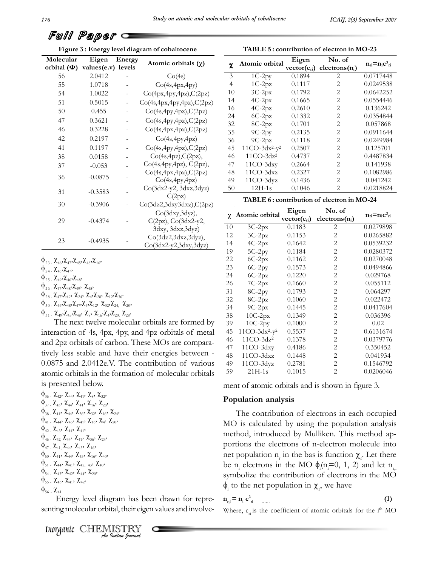**TABLE**

| ש שיש                         | <i>V El p</i> C l'   |                  |                                                            |                |
|-------------------------------|----------------------|------------------|------------------------------------------------------------|----------------|
|                               |                      |                  | Figure 3 : Energy level diagram of cobaltocene             |                |
| Molecular<br>orbital $(\Phi)$ | Eigen<br>values(e.v) | Energy<br>levels | Atomic orbitals $(\chi)$                                   |                |
| 56                            | 2.0412               |                  | Co(4s)                                                     |                |
| 55                            | 1.0718               |                  | Co(4s,4px,4py)                                             |                |
| 54                            | 1.0022               |                  | Co(4px,4py,4pz),C(2pz)                                     |                |
| 51                            | 0.5015               |                  | Co(4s,4px,4py,4pz),C(2pz)                                  |                |
| 50                            | 0.455                |                  | Co(4s,4py,4pz),C(2pz)                                      |                |
| 47                            | 0.3621               |                  | Co(4s,4py,4pz), C(2pz)                                     |                |
| 46                            | 0.3228               |                  | Co(4s,4px,4pz),C(2pz)                                      |                |
| 42                            | 0.2197               |                  | Co(4s,4py,4pz)                                             |                |
| 41                            | 0.1197               |                  | Co(4s,4py,4pz), C(2pz)                                     |                |
| 38                            | 0.0158               |                  | Co(4s,4pz), C(2pz),                                        |                |
| 37                            | $-0.053$             |                  | Co(4s,4py,4pz), C(2pz),                                    |                |
| 36                            | $-0.0875$            |                  | Co(4s,4px,4pz),C(2pz)<br>Co(4s,4py,4pz)                    |                |
| 31                            | $-0.3583$            |                  | Co(3dx2-y2, 3dxz,3dyz)<br>C(2pz)                           |                |
| 30                            | $-0.3906$            |                  | Co(3dz2,3dxy3dxz),C(2pz)                                   |                |
| 29                            | $-0.4374$            |                  | Co(3dxy,3dyz),<br>C(2pz), Co(3dx2-y2,<br>3dxy, 3dxz, 3dyz) | $\overline{1}$ |
| 23                            | $-0.4935$            |                  | Co(3dz2,3dxz,3dyz),<br>$Co(3dx2-y2,3dxy,3dyz)$             | 1<br>1         |

Full Paper **Figure**

|  | 23                                                 |                                                         |                                                                                     | $-0.4935$ |  |
|--|----------------------------------------------------|---------------------------------------------------------|-------------------------------------------------------------------------------------|-----------|--|
|  |                                                    |                                                         | $\Phi_{23}$ , $\chi_{46}$ , $\chi_{47}$ , $\chi_{45}$ , $\chi_{48}$ , $\chi_{16}$ , |           |  |
|  | $\phi$ <sub>24 -</sub> $\chi_{45}$ , $\chi_{47}$ , |                                                         |                                                                                     |           |  |
|  |                                                    | $\Phi_{25}$ , $\chi_{49}$ , $\chi_{46}$ , $\chi_{48}$ , |                                                                                     |           |  |
|  |                                                    | $\Lambda$ $\sim$ $\sim$ $\sim$                          |                                                                                     |           |  |

$$
\Phi_{24}^{\phantom{\dag}}\, \chi_{45}^{\phantom{\dag}}, \chi_{47}^{\phantom{\dag}},
$$

24 -  $\chi_{45}$ ,  $\chi_{47}$ ,<br>
25 -  $\chi_{49}$ ,  $\chi_{46}$ ,  $\chi_{48}$ ,<br>
26 -  $\chi_{47}$ ,  $\chi_{48}$ ,  $\chi_{49}$ ,  $\chi_{45}$ ,  $\Phi_{24}^{\sqrt{2}}$ ,  $\chi_{45}^{\sqrt{2}}$ ,  $\chi_{47}^{\sqrt{2}}$ ,  $\chi_{48}^{\sqrt{2}}$ ,  $\chi_{49}^{\sqrt{2}}$ ,  $\chi_{47}^{\sqrt{2}}$ ,  $\chi_{48}^{\sqrt{2}}$ ,  $\chi_{47}^{\sqrt{2}}$ ,  $\chi_{49}^{\sqrt{2}}$ ,  $\chi_{45}^{\sqrt{2}}$ ,  $\chi_{47}^{\sqrt{2}}$ ,  $\chi_{47}^{\sqrt{2}}$ ,  $\chi_{47}^{\sqrt{2}}$ ,  $\chi_{58}^{\sqrt{2}}$ l<sub>48</sub>,<br>(<sub>49</sub>,<br>γ  $\chi^{45}$ <br> $\chi^{45}$ 

$$
\begin{array}{l}\n\Phi_{25} = \chi_{49}^{\phantom{-}} \chi_{46}^{\phantom{-}} \chi_{48}^{\phantom{-}} \chi_{48}^{\phantom{-}} \chi_{48}^{\phantom{-}} \chi_{48}^{\phantom{-}} \chi_{48}^{\phantom{-}} \chi_{48}^{\phantom{-}} \chi_{48}^{\phantom{-}} \\
\Phi_{26} = \chi_{47}^{\phantom{-}} \chi_{48}^{\phantom{-}} \chi_{48}^{\phantom{-}} \chi_{24}^{\phantom{-}} \chi_{45}^{\phantom{-}} \\
\Phi_{28} = \chi_{47}^{\phantom{-}} \chi_{46}^{\phantom{-}} \chi_{24}^{\phantom{-}} \chi_{24}^{\phantom{-}} \chi_{45}^{\phantom{-}} \chi_{28}^{\phantom{-}} \chi_{12}^{\phantom{-}} \chi_{26}^{\phantom{-}} \\
\Phi_{30} = \chi_{46}^{\phantom{-}} \chi_{48}^{\phantom{-}} \chi_{47}^{\phantom{-}} \chi_{47}^{\phantom{-}} \chi_{47}^{\phantom{-}} \chi_{47}^{\phantom{-}} \chi_{27}^{\phantom{-}} \chi_{20}^{\phantom{-}} \chi_{20}^{\phantom{-}}\n\end{array}
$$

 $\Phi_{26}^-\chi_{47}^-\chi_{48}^-\chi_{49}^-\chi_{49}^-\chi_{45}^-\,,\ \Phi_{28}^-\chi_{47}^-\chi_{49}^-\chi_{24}^-\chi_{44}^-\chi_{28}^-\chi_{12}^-\chi_{36}^-\,,\ \Phi_{30}^-\chi_{46}^-\chi_{48}^-\chi_{49}^-\chi_{47}^-\chi_{47}^-\chi_{47}^-\chi_{12}^-\chi_{32}^-\chi_{24}^-\chi_{20}^-\,,\ \Phi_{31}^-\chi_{49}^-\chi_{49}^-\chi_{48}^-\chi_{82}^-\$  $\chi_{28}$ ,  $\chi_{12}$ , $\chi_{36}$ ,<br><sub>2</sub>,  $\chi_{32}$ , $\chi_{24}$ ,  $\chi_{20}$ ,<br> $\chi_{16}$ , $\chi_{4}$ , $\chi_{20}$ ,  $\chi_{28}$ , N463N483N473N42N123 N323N24, N203<br>Y Y Y Y Y Y Y Y Y

 $\phi_{31}$ ,  $\chi_{49}$ ,  $\chi_{45}$ ,  $\chi_{8}$ ,  $\chi_{8}$ ,  $\chi_{16}$ ,  $\chi_{4}$ ,  $\chi_{20}$ ,  $\chi_{28}$ ,  $\chi_{28}$ ,  $\chi_{29}$ ,  $\chi_{28}$ ,  $\chi_{29}$ ,  $\chi_{28}$ ,  $\chi_{29}$ ,  $\chi_{29}$ ,  $\chi_{29}$ ,  $\chi_{29}$ ,  $\chi_{29}$ ,  $\chi_{29}$ ,  $\chi_{20}$ ,  $\chi_{20}$ ,  $\chi_{$ interaction of 4s, 4px, 4py, and 4pz orbitals of metal<br>and 2pz orbitals of carbon. These MOs are comparaand 2pz orbitals of carbon. These MOs are compara-<br>tively less stable and have their energies between tively less stable and have their energies between - $\frac{48}{200875}$  and 2.0412e.V. The contribution of various  $\frac{49}{200875}$  atomic orbitals in the formation of molecular orbitals  $\frac{59}{2008}$ atomic orbitals in the form ,ort<br>http:<br>۲۰۰ ,1tal<br>d b<br>7 ,s 111<br>elo<br>? . is presented below. th<br>w.<br>γ

,

tomic orbitals in<br>
36 - X<sub>42</sub>, X<sub>44</sub>, X<sub>41</sub>, X<sub>8</sub>, 7<br>
37 - X<sub>43</sub>, X<sub>44</sub>, X<sub>41</sub>, X<sub>10</sub>, ente<br>X<sub>44</sub><br>Y  $38 - 143$   $144 - 141$   $16$ d l<br>χ<sub>41</sub>:<br>γ elo<br>x,,<br>y x.<br>K<sub>32</sub>,<br>γ  $\phi_{36}^{-1}$ ,  $\chi_{42}$ ,  $\chi_{44}$ ,  $\chi_{41}$ ,  $\chi_{8}$ ,  $\chi_{32}$ ,<br> $\phi_{37}$ ,  $\chi_{43}$ ,  $\chi_{44}$ ,  $\chi_{41}$ ,  $\chi_{16}$ ,  $\chi_{28}$ ,<br> $\phi_{38}$ ,  $\chi_{41}$ ,  $\chi_{44}$ ,  $\chi_{36}$ ,  $\chi_{32}$ ,  $\chi_{16}$ ,  $\chi_{24}$ ,  $, \, \nu_{44}$ ,  $\nu_{41}$ ,  $\nu_{8}$ ,  $\nu_{1}$ 36 - X422 X442 X412 X82 X<sub>322</sub><br>37 - X432 X442 X412 X<sub>16</sub>2 X<sub>28</sub>2<br>38 - X412 X442 X<sub>36</sub>2 X<sub>322</sub> X<sub>16</sub>2 X<sub>24</sub>2  $\chi_{32}^{\prime},$ <br> $\chi_{28}^{\prime},$  $\phi_{37}$  ,  $\chi_{43}$ ,  $\chi_{44}$ ,  $\chi_{41}$ ,  $\chi_{16}$ ,  $\chi_{28}$ <br>  $\phi_{37}$  ,  $\chi_{43}$ ,  $\chi_{44}$ ,  $\chi_{41}$ ,  $\chi_{16}$ ,  $\chi_{28}$ <br>  $\phi_{38}$  ,  $\chi_{41}$ ,  $\chi_{44}$ ,  $\chi_{36}$ ,  $\chi_{32}$ ,  $\chi_{16}$ ,  $\chi_{24}$ ,<br>  $\phi_{41}$  ,  $\chi_{43}$ ,  $\chi_{43$  $\frac{1}{2}$ ,  $\frac{1}{2}$ ,  $\frac{1}{2}$ ,  $\frac{1}{2}$ ,  $\frac{1}{2}$ ,  $\frac{1}{2}$  $\chi_{28}^2,\ \chi_{16}^2,\ \gamma$ , $\chi_{24}$  $\phi_{38}$  ,  $\chi_{43}$ ,  $\chi_{44}$ ,  $\chi_{45}$ ,  $\chi_{36}$ ,  $\chi_{32}$ ,  $\chi_{16}$ ,  $\chi_{24}$ ,<br>  $\phi_{41}$  ,  $\chi_{44}$ ,  $\chi_{43}$ ,  $\chi_{36}$ ,  $\chi_{32}$ ,  $\chi_{16}$ ,  $\chi_{24}$ ,<br>  $\phi_{41}$  ,  $\chi_{43}$ ,  $\chi_{43}$ ,  $\chi_{41}$ ,  $\chi_{16}$ ,  $\chi_{4}$ ,  $\chi_{20}$ 41 -  $\mathcal{X}_{43}$ ,  $\mathcal{X}_{43}$ ,  $\mathcal{X}_{44}$ ,  $\mathcal{X}_{41}$ <br>
42 -  $\mathcal{X}_{43}$ ,  $\mathcal{X}_{44}$ ,  $\mathcal{X}_{41}$ <br>
46 -  $\mathcal{X}_{42}$ ,  $\mathcal{X}_{44}$ ,  $\mathcal{X}_{41}$ ,  $\mathcal{Y}$  $\phi_{41}$ ,  $\chi_{44}$ ,  $\chi_{43}$ ,  $\chi_{41}$ ,  $\chi_{43}$ <br>  $\phi_{42}$ ,  $\chi_{43}$ ,  $\chi_{44}$ ,  $\chi_{41}$ ,  $\chi_{42}$ <br>  $\phi_{46}$ ,  $\chi_{42}$ ,  $\chi_{44}$ ,  $\chi_{41}$ ,  $\chi_{36}$  $\phi_{42}$ ,  $\chi_{43}$ ,  $\chi_{44}$ ,  $\chi_{41}$ ,<br>  $\phi$   $\gamma$   $\gamma$ ,  $\gamma$ ,  $\gamma$ , $\chi_4$ ,<br> $\gamma$ , $\chi_{42}$  -  $\chi_{43}$ ,  $\chi_{44}$ ,  $\chi_{41}$ ,<br>
46 -  $\chi_{42}$ ,  $\chi_{44}$ ,  $\chi_{41}$ ,  $\chi_{36}$ ,<br>
47 -  $\chi_{41}$ ,  $\chi_{44}$ ,  $\chi_{43}$ ,  $\chi_{16}$ ,<br>
50 -  $\chi_{41}$ ,  $\chi_{44}$ ,  $\chi_{43}$ ,  $\chi_{16}$ ,  $\chi_{36}$ <br> $\gamma$  $\phi_{46}$ ,  $\chi_{42}$ ,  $\chi_{44}$ ,  $\chi_{41}$ ,  $\chi_{36}$ ,  $\chi_{24}$ ,<br>  $\phi_{47}$ ,  $\chi_{41}$ ,  $\chi_{44}$ ,  $\chi_{43}$ ,  $\chi_{16}$ ,<br>  $\phi$   $\chi$ ,  $\chi$ ,  $\chi$ ,  $\chi$ ,  $\chi$ , $\chi^{(44)}_{44},$ <br> $\chi^{(44)}_{44},$  $\chi_{41}^2$ ,<br> $\chi_{43}^2$ , x<sub>36</sub>,<br>x<sub>16</sub>,<br>γ  $\Phi_{47}$  ,  $\chi_{41}$ ,  $\chi_{44}$ ,  $\chi_{43}$ ,  $\chi_{16}$ ,<br>  $\Phi_{50}$  ,  $\chi_{41}$ ,  $\chi_{44}$ ,  $\chi_{43}$ ,  $\chi_{16}$ ,<br>  $\phi_{50}$  ,  $\chi_{41}$ ,  $\chi_{44}$ ,  $\chi_{43}$ ,  $\chi_{16}$ ,  $\chi_{40}$ ,<br>  $\phi_{51}$  ,  $\chi_{44}$ ,  $\chi_{41}$ ,  $\chi_{42}$ ,  $\chi_{32}$ ,  $\chi_{$  $\overline{5}$  $\frac{1}{2}$ ,  $\frac{1}{4}$ ,  $\frac{1}{4}$ ,  $\frac{1}{4}$ ,  $\frac{1}{4}$ ,  $\frac{1}{4}$  $\frac{1}{50}$  -  $\chi_{41}$ ,  $\chi_{44}$ ,  $\chi_{43}$ ,  $\chi_{16}$ ,  $\chi_{40}$ <br>  $\frac{1}{51}$  -  $\chi_{44}$ ,  $\chi_{41}$ ,  $\chi_{42}$ ,  $_{43}$ ,  $\chi_{40}$ ,<br>  $\frac{1}{54}$ -  $\chi_{43}$ ,  $\chi_{42}$ ,  $\chi_{44}$ ,  $\chi_{20}$ ,  $,\chi_{4}^{\prime}$  $\phi_{50}$ ,  $\chi_{41}$ ,  $\chi_{44}$ ,  $\chi_{43}$ ,  $\chi_{16}$ ,  $\chi_{40}$ ,<br>  $\phi_{50}$ ,  $\chi_{41}$ ,  $\chi_{44}$ ,  $\chi_{43}$ ,  $\chi_{16}$ ,  $\chi_{40}$ , , $\chi_{44}^2$ ,<br> $\chi_{41}^2$ , 54 - 7745 - 7742 - 7744 -, $\chi_{43}^{\mathbb{Z}}, \ \chi_{42}^{\mathbb{Z}},$ , $\chi_{16}^{2}$ <br>  $\chi_{43}^{43}$ ,  $\chi_{10}^{20}$  $\phi_{51}$ ,  $\chi_{44}$ ,  $\chi_{41}$ ,  $\chi_{42}$ ,  $\chi_{33}$ ,  $\chi_{16}$ ,  $\chi_{40}$ ,<br>  $\phi_{51}$ ,  $\chi_{44}$ ,  $\chi_{41}$ ,  $\chi_{42}$ ,  $\chi_{33}$ ,  $\chi_{40}$ ,<br>  $\phi_{54}$ ,  $\chi_{43}$ ,  $\chi_{42}$ ,  $\chi_{44}$ ,  $\chi_{20}$ ,<br>  $\phi_{55}$ ,  $\chi_{43}$ ,  $\chi_{41}$ ,  $\chi_{42}$  $\phi_{54}$ ,  $\chi_{43}$ ,  $\chi_{42}$ ,  $\chi_{43}$ ,  $\chi_{42}$ ,  $\chi_{43}$ ,  $\chi_{20}$ ,<br>  $\phi_{55}$ ,  $\chi_{43}$ ,  $\chi_{41}$ ,  $\chi_{42}$ ,<br>  $\phi_{56}$ ,  $\chi_{41}$  $\phi_{56}$   $\chi_{41}$ 

**Indiana**<br>**Indian**, their eiger<br>**Indian fourwal**  $\phi_{\text{56}}$ .  $\chi_{\text{41}}$ ,  $\chi_{\text{42}}$ ,  $\phi_{\text{56}}$ ,  $\chi_{\text{41}}$ <br> $\phi_{\text{56}}$ ,  $\chi_{\text{41}}$  . Energy level diagram has been drawn for repre- n .= m has been drawn for repre-<br>their eigen values and involve-

Inorganic CHEMISTRY

| <b>TABLE 5: contribution of electron in MO-23</b> |  |
|---------------------------------------------------|--|

| χ              | Atomic orbital   | Eigen  | No. of<br>$vector(c_{ri})$ electrons(n <sub>i</sub> ) | $n_{ri} = n_i c^2_{ri}$ |
|----------------|------------------|--------|-------------------------------------------------------|-------------------------|
| 3              | $1C-2py$         | 0.1894 | 2                                                     | 0.0717448               |
| $\overline{4}$ | $1C-2pz$         | 0.1117 | 2                                                     | 0.0249538               |
| 10             | $3C-2px$         | 0.1792 | 2                                                     | 0.0642252               |
| 14             | $4C-2px$         | 0.1665 | $\overline{2}$                                        | 0.0554446               |
| 16             | $4C-2pz$         | 0.2610 | 2                                                     | 0.136242                |
| 24             | $6C-2pz$         | 0.1332 | 2                                                     | 0.0354844               |
| 32             | $8C-2pz$         | 0.1701 | 2                                                     | 0.057868                |
| 35             | $9C-2py$         | 0.2135 | $\overline{2}$                                        | 0.0911644               |
| 36             | $9C-2pz$         | 0.1118 | 2                                                     | 0.0249984               |
| 45             | $11CO-3dx^2-y^2$ | 0.2507 | $\overline{2}$                                        | 0.125701                |
| 46             | $11CO-3dz^2$     | 0.4737 | 2                                                     | 0.4487834               |
| 47             | $11CO-3dxy$      | 0.2664 | 2                                                     | 0.141938                |
| 48             | $11CO-3dxz$      | 0.2327 | 2                                                     | 0.1082986               |
| 49             | 11CO-3dyz        | 0.1436 | $\overline{2}$                                        | 0.041242                |
| 50             | $12H-1s$         | 0.1046 | 2                                                     | 0.0218824               |

| χ  | Atomic orbital   | Eigen            | No. of                     | $n_{ri} = n_i c^2_{ri}$ |
|----|------------------|------------------|----------------------------|-------------------------|
|    |                  | $vector(c_{ri})$ | electrons(n <sub>i</sub> ) |                         |
| 10 | $3C-2px$         | 0.1183           | 2                          | 0.0279898               |
| 12 | $3C-2pz$         | 0.1153           | 2                          | 0.0265882               |
| 14 | $4C-2px$         | 0.1642           | $\mathbf{2}$               | 0.0539232               |
| 19 | $5C-2py$         | 0.1184           | 2                          | 0.0280372               |
| 22 | $6C-2px$         | 0.1162           | $\mathbf{2}$               | 0.0270048               |
| 23 | $6C-2py$         | 0.1573           | $\mathbf{2}$               | 0.0494866               |
| 24 | $6C-2pz$         | 0.1220           | 2                          | 0.029768                |
| 26 | $7C-2px$         | 0.1660           | 2                          | 0.055112                |
| 31 | $8C-2py$         | 0.1793           | $\mathbf{2}$               | 0.064297                |
| 32 | $8C-2pz$         | 0.1060           | $\overline{c}$             | 0.022472                |
| 34 | $9C-2px$         | 0.1445           | 2                          | 0.0417604               |
| 38 | $10C-2px$        | 0.1349           | $\mathbf{2}$               | 0.036396                |
| 39 | $10C-2py$        | 0.1000           | $\overline{2}$             | 0.02                    |
| 45 | $11CO-3dx^2-y^2$ | 0.5537           | 2                          | 0.6131674               |
| 46 | $11CO-3dz^2$     | 0.1378           | $\overline{c}$             | 0.0379776               |
| 47 | $11CO-3dxy$      | 0.4186           | 2                          | 0.350452                |
| 48 | $11CO-3dxz$      | 0.1448           | 2                          | 0.041934                |
| 49 | $11CO-3dyz$      | 0.2781           | 2                          | 0.1546792               |
| 59 | $21H-1s$         | 0.1015           | 2                          | 0.0206046               |

**analysis**

#### Population analysis

i**on analysis**<br>contribution of electrons in each occupied MOIn the contribution of electrons in each occupied<br>is calculated by using the population analysis MO is calculated by using the population analysis<br>method, introduced by Mulliken. This method apmethod, introduced by Mulliken. This method apmethod, introduced by Mulliken. This method apportions the electrons of n-electron molecule into net population  $n_r$  in the bas is function  $\chi_r$ . Let there net popula<br>be n. elect portions the electrons of n-electron molecule into<br>net population  $n_r$  in the bas is function  $\chi_r$ . Let there<br>be n<sub>i</sub> electrons in the MO  $\phi_i(n_i=0, 1, 2)$  and let n<sub>ri</sub> be n<sub>i</sub> electrons in the MO  $\phi_i$ (n<sub>i</sub>=0, 1, 2) and let n<sub>r, i</sub> symbolize the contribution of electrons in the MO  $\phi_i$  to the net population in  $\chi$ <sub>,</sub> we have to the net po<br>  $\mathbf{r_i} = \mathbf{n_i} \mathbf{c}_{\mathbf{r_i}}^2$ 

$$
\mathbf{n}_{\rm r,i} = \mathbf{n}_{\rm i} \, \mathbf{c}_{\rm r i}^2 \quad \dots \tag{1}
$$
\nWhere,  $\mathbf{c}_{\rm r i}$  is the coefficient of atomic orbitals for the i<sup>th</sup> MO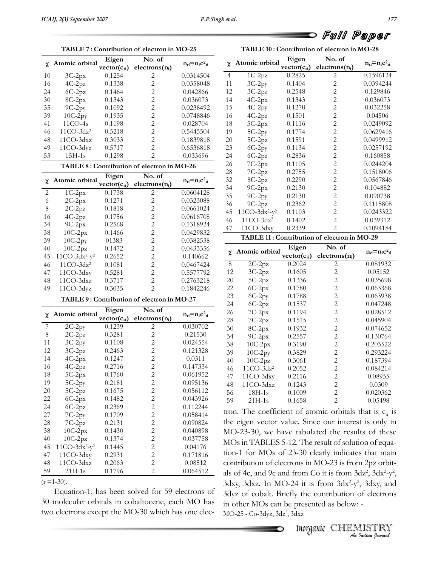**TABLE**



Full Paper **<sup>10</sup> : Contribution of electron in MO-28**

|          |                       |                           | TABLE 7: Contribution of electron in MO-25 |                         |
|----------|-----------------------|---------------------------|--------------------------------------------|-------------------------|
| χ        | Atomic orbital        | Eigen<br>$vector(c_{ri})$ | No. of<br>electrons(n <sub>i</sub> )       | $n_{ri} = n_i c^2_{ri}$ |
| 10       |                       | 0.1254                    | 2                                          | 0.0314504               |
| 16       | $3C-2px$<br>$4C-2pz$  | 0.1338                    | $\overline{c}$                             | 0.0358048               |
| 24       |                       | 0.1464                    | $\overline{2}$                             | 0.042866                |
|          | $6C-2pz$<br>8C-2px    |                           | $\overline{c}$                             |                         |
| 30       | $9C-2py$              | 0.1343                    | $\overline{c}$                             | 0.036073                |
| 35       |                       | 0.1092                    |                                            | 0.0238492               |
| 39       | $10C-2py$             | 0.1935                    | $\overline{c}$                             | 0.0748846               |
| 41       | 11CO-4s               | 0.1198                    | $\overline{c}$                             | 0.028704                |
| 46       | $11CO-3dz2$           | 0.5218                    | $\overline{c}$                             | 0.5445504               |
| 48       | 11CO-3dxz             | 0.3033                    | $\overline{c}$                             | 0.1839818               |
| 49       | 11CO-3dyz             | 0.5717                    | $\overline{2}$                             | 0.6536818               |
| 53       | $15H-1s$              | 0.1298                    | $\overline{2}$                             | 0.033696                |
|          |                       |                           | TABLE 8: Contribution of electron in MO-26 |                         |
| χ        | Atomic orbital        | Eigen                     | No. of                                     | $n_{ri} = n_i c^2_{ri}$ |
|          |                       | $vector(c_{ri})$          | electrons(n <sub>i</sub> )                 |                         |
| 2        | $1C-2px$              | 0.1738                    | $\overline{2}$                             | 0.0604128               |
| 6        | $2C-2px$              | 0.1271                    | $\overline{c}$                             | 0.0323088               |
| 8        | $2C-2pz$              | 0.1818                    | $\overline{c}$                             | 0.0661024               |
| 16       | $4C-2pz$              | 0.1756                    | $\overline{c}$                             | 0.0616708               |
| 34       | $9C-2px$              | 0.2568                    | $\overline{c}$                             | 0.1318924               |
| 38       | $10C-2px$             | 0.1466                    | $\overline{c}$                             | 0.0429832               |
| 39       | $10C-2py$             | 01383                     | $\overline{c}$                             | 0.0382538               |
| 40       | $10C-2pz$             | 0.1472                    | $\overline{c}$                             | 0.0433356               |
| 45       | $11CO-3dx^2-y^2$      | 0.2652                    | $\overline{c}$                             | 0.140662                |
| 46       | $11CO-3dz2$           | 0.1081                    | $\overline{c}$                             | 0.0467424               |
| 47       | 11CO-3dxy             | 0.5281                    | $\overline{c}$                             | 0.5577792               |
| 48       | 11CO-3dxz             | 0.3717                    | $\overline{c}$                             | 0.2763218               |
| 49       | 11CO-3dyz             | 0.3035                    | $\overline{2}$                             | 0.1842246               |
|          |                       |                           | TABLE 9: Contribution of electron in MO-27 |                         |
|          |                       | Eigen                     | No. of                                     |                         |
| χ        | Atomic orbital        | $vector(c_{ri})$          | electrons(n <sub>i</sub> )                 | $n_{ri} = n_i c^2_{ri}$ |
| 7        | $2C-2py$              | 0.1239                    | $\overline{c}$                             | 0.030702                |
| 8        | $2C-2pz$              | 0.3281                    | $\overline{c}$                             | 0.21530                 |
| 11       | $3C-2py$              | 0.1108                    | $\overline{c}$                             | 0.024554                |
| 12       | $3C-2pz$              | 0.2463                    | $\overline{c}$                             | 0.121328                |
| 14       | $4C-2px$              | 0.1247                    | $\overline{c}$                             | 0.0311                  |
| 16       | $4C-2pz$              | 0.2716                    | $\overline{c}$                             | 0.147334                |
| 18       | $5C-2px$              | 0.1760                    | $\overline{\mathbf{c}}$                    | 0.061952                |
| 19       | $5C-2py$              | 0.2181                    | $\overline{c}$                             | 0.095136                |
| 20       | $5C-2pz$              | 0.1675                    | $\overline{c}$                             | 0.056112                |
|          | $6C-2px$              |                           | $\overline{c}$                             |                         |
|          |                       | 0.1482                    |                                            | 0.043926                |
| 22       |                       |                           |                                            |                         |
| 24       | $6C-2pz$              | 0.2369                    | $\overline{c}$                             | 0.112244                |
| 27       | $7C-2py$              | 0.1709                    | $\overline{c}$                             | 0.058414                |
| 28       | $7C-2pz$              | 0.2131                    | $\overline{c}$                             | 0.090824                |
| 38       | $10C-2px$             | 0.1430                    | $\overline{c}$                             | 0.040898                |
| 40       | $10C-2pz$             | 0.1374                    | $\overline{c}$                             | 0.037758                |
| 45       | $11CO-3dx^2-y^2$      | 0.1445                    | $\overline{c}$                             | 0.04176                 |
| 47       | 11CO-3dxy             | 0.2931                    | $\overline{c}$                             | 0.171816                |
| 48<br>59 | 11CO-3dxz<br>$21H-1s$ | 0.2063<br>0.1796          | $\overline{2}$<br>$\overline{c}$           | 0.08512<br>0.064512     |

**<sup>7</sup> : Contribution of electron in MO-25**

als defined as a state of the solved for 59 electrons of a state and state and state and state and state and state  $\frac{3}{4}$ 30Equation-1, has been solved for 59 electrons of  $\frac{3\text{dyz}}{3\text{dyz}}$  of molecular orbitals in cobaltocene, each MO has in other  $t_{\text{t}}$  and  $t_{\text{t}}$  is the series of the MO-30 which has one elec-<br>two electrons except the MO-30 which has one elec-

|                |                          |                  | TABLE 10: Contribution of electron in MO-28 |                                       |  |
|----------------|--------------------------|------------------|---------------------------------------------|---------------------------------------|--|
|                | Atomic orbital           | Eigen            | No. of                                      | $n_{\rm ri} = n_{\rm i} c^2_{\rm ri}$ |  |
| χ              |                          | $vector(c_{ri})$ | electrons(n <sub>i</sub> )                  |                                       |  |
| $\overline{4}$ | $1C-2pz$                 | 0.2825           | $\overline{c}$                              | 0.1596124                             |  |
| 11             | $3C-2py$                 | 0.1404           | $\overline{c}$                              | 0.0394244                             |  |
| 12             | $3C-2pz$                 | 0.2548           | $\overline{c}$                              | 0.129846                              |  |
| 14             | $4C-2px$                 | 0.1343           | $\overline{2}$                              | 0.036073                              |  |
| 15             | $4C-2py$                 | 0.1270           | $\overline{c}$                              | 0.032258                              |  |
| 16             | $4C-2pz$                 | 0.1501           | $\overline{c}$                              | 0.04506                               |  |
| 18             | $5C-2px$                 | 0.1116           | $\overline{c}$                              | 0.0249092                             |  |
| 19             | $5C-2py$                 | 0.1774           | $\overline{c}$                              | 0.0629416                             |  |
| 20             | $5C-2pz$                 | 0.1591           | $\overline{c}$                              | 0.0499912                             |  |
| 23             | $6C-2py$                 | 0.1134           | $\overline{c}$                              | 0.0257192                             |  |
| 24             | 6C-2pz                   | 0.2836           | $\overline{c}$                              | 0.160858                              |  |
| 26             | $7C-2px$                 | 0.1105           | $\overline{2}$                              | 0.0244204                             |  |
| 28             | $7C-2pz$                 | 0.2755           | $\overline{c}$                              | 0.1518006                             |  |
| 32             | 8C-2pz                   | 0.2290           | $\overline{c}$                              | 0.0567846                             |  |
| 34             | $9C-2px$                 | 0.2130           | $\overline{c}$                              | 0.104882                              |  |
| 35             | $9C-2py$                 | 0.2130           | $\overline{c}$                              | 0.090738                              |  |
| 36             | $9C-2pz$                 | 0.2362           | $\overline{2}$                              | 0.1115808                             |  |
| 45             | $11CO-3dx^2-y^2$         | 0.1103           | $\overline{c}$                              | 0.0243322                             |  |
| 46             | $11CO-3dz2$              | 0.1402           | $\overline{c}$                              | 0.039312                              |  |
| 47             | 11CO-3dxy                | 0.2339           | $\overline{2}$                              | 0.1094184                             |  |
|                |                          |                  | TABLE 11: Contribution of electron in MO-29 |                                       |  |
|                |                          | Eigen            | No. of                                      |                                       |  |
| χ              | Atomic orbital           | $vector(c_{ri})$ | electrons(n <sub>i</sub> )                  | $n_{ri} = n_i c^2_{ri}$               |  |
| $\,$ 8 $\,$    | $2C-2pz$                 | 0.2024           | $\overline{c}$                              | 0.081932                              |  |
| 12             | $3C-2pz$                 | 0.1605           | $\overline{c}$                              | 0.05152                               |  |
| 20             | $5C-2pz$                 | 0.1336           | $\overline{2}$                              | 0.035698                              |  |
| 22             | $6C-2px$                 | 0.1780           | $\overline{c}$                              | 0.063368                              |  |
| 23             | $6C-2py$                 | 0.1788           | $\overline{c}$                              | 0.063938                              |  |
|                |                          |                  |                                             |                                       |  |
| 24             |                          | 0.1537           | $\overline{c}$                              | 0.047248                              |  |
| 26             | $6C-2pz$                 |                  | $\overline{c}$                              | 0.028512                              |  |
| 28             | $7C-2px$                 | 0.1194           | $\overline{c}$                              | 0.045904                              |  |
|                | $7C-2pz$                 | 0.1515           |                                             |                                       |  |
| 30             | $8C-2px$                 | 0.1932           | $\overline{c}$<br>$\overline{c}$            | 0.074652                              |  |
| 34             | $9C-2px$                 | 0.2557           | $\overline{c}$                              | 0.130764                              |  |
| 38             | $10C-2px$                | 0.3190           |                                             | 0.203522                              |  |
| 39<br>40       | $10C-2py$                | 0.3829<br>0.3061 | $\overline{c}$<br>$\overline{c}$            | 0.293224<br>0.187394                  |  |
| 46             | $10C-2pz$<br>$11CO-3dz2$ | 0.2052           |                                             | 0.084214                              |  |
|                |                          |                  | $\overline{c}$                              |                                       |  |
| 47<br>48       | 11CO-3dxy                | 0.2116<br>0.1243 | $\overline{c}$                              | 0.08955                               |  |
|                | $11CO-3dxz$              |                  | $\overline{c}$                              | 0.0309                                |  |
| 56<br>59       | 18H-1s<br>21H-1s         | 0.1009<br>0.1658 | $\overline{2}$<br>$\overline{2}$            | 0.020362<br>0.05498                   |  |

From Co it is from 3dz<sup>2</sup>-y<sup>2</sup>, 3dxy, and<br> *I* the contribution of electrons<br>
presented as below: -<br>
<br> *INNOSTRY*<br> *<i>INNOSTRY*<br> *<i>An Quation Cournal* als of 4c, and 9c and from Co it is from  $3dz^2$ ,  $3dx^2-y^2$ ,  $3dx$ ,  $3dx$ , In MO-24 it is from  $3dx^2-y^2$ ,  $3dx$ , and  $rac{59}{59}$  21H-1s 0.1658 2 0.05498<br>tron. The coefficient of atomic orbitals that is  $c_{\rm n}$  is<br>the eigen vector value. Since our interest is only in the eigen vector value. Since our interest is only in<br>MO-23-30, we have tabulated the results of these  $MO-23-30$ , we have tabulated the results of these<br> $MOs$  in TABLES 5-12. The result of solution of equa-MOs in TABLES 5-12. The result of solution of equa-<br>tion-1 for MOs of 23-30 clearly indicates that main tion-1 for MOs of 23-30 clearly indicates that main<br>contribution of electrons in MO-23 is from 2pz orbittribution of electrons in MO-23 is from 2pz orbit-<br>of 4c, and 9c and from Co it is from  $3dz^2$ ,  $3dx^2-y^2$ .  $2pz$  orbit-<br>  $2, 3dx^2-y^2$ ,  $3$ dxy,  $3$ dxz. In MO-24 it is from  $3dx^2-y^2$ ,  $3$ dxy, and  $3dx^2$  of cobalt. Briefly the contribution of electrons 3dyz of cobalt. Briefly the contribution of election other MOs can be presented as below: er MOs can be presented<br>- Co-3dyz, 3dz<sup>2</sup>, 3dxz MO-25 - Co-3dyz, 3dz<sup>2</sup>, 3dxz